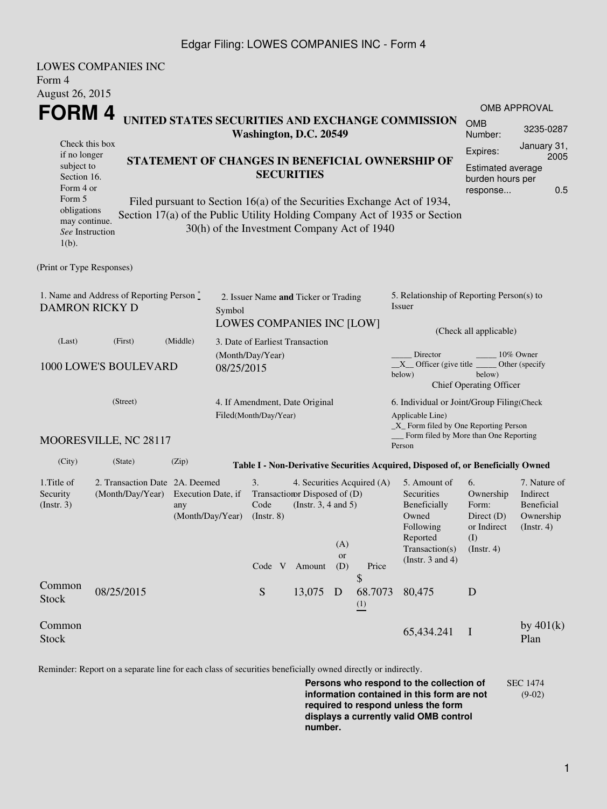### Edgar Filing: LOWES COMPANIES INC - Form 4

|                                                                                    | <b>LOWES COMPANIES INC</b>                                                 |                                                                                                                                              |                                                                                                                                                                                                      |                                                                                                |                                                                                                                             |                                                                         |  |  |
|------------------------------------------------------------------------------------|----------------------------------------------------------------------------|----------------------------------------------------------------------------------------------------------------------------------------------|------------------------------------------------------------------------------------------------------------------------------------------------------------------------------------------------------|------------------------------------------------------------------------------------------------|-----------------------------------------------------------------------------------------------------------------------------|-------------------------------------------------------------------------|--|--|
| Form 4                                                                             |                                                                            |                                                                                                                                              |                                                                                                                                                                                                      |                                                                                                |                                                                                                                             |                                                                         |  |  |
| <b>August 26, 2015</b>                                                             |                                                                            |                                                                                                                                              |                                                                                                                                                                                                      |                                                                                                |                                                                                                                             |                                                                         |  |  |
| FORM 4                                                                             |                                                                            | <b>OMB APPROVAL</b>                                                                                                                          |                                                                                                                                                                                                      |                                                                                                |                                                                                                                             |                                                                         |  |  |
|                                                                                    | UNITED STATES SECURITIES AND EXCHANGE COMMISSION<br>Washington, D.C. 20549 |                                                                                                                                              |                                                                                                                                                                                                      |                                                                                                |                                                                                                                             |                                                                         |  |  |
| Check this box<br>if no longer<br>subject to<br>Section 16.<br>Form 4 or<br>Form 5 |                                                                            | Expires:<br>STATEMENT OF CHANGES IN BENEFICIAL OWNERSHIP OF<br><b>Estimated average</b><br><b>SECURITIES</b><br>burden hours per<br>response |                                                                                                                                                                                                      |                                                                                                |                                                                                                                             |                                                                         |  |  |
| obligations<br>may continue.<br>See Instruction<br>$1(b)$ .                        |                                                                            |                                                                                                                                              | Filed pursuant to Section 16(a) of the Securities Exchange Act of 1934,<br>Section 17(a) of the Public Utility Holding Company Act of 1935 or Section<br>30(h) of the Investment Company Act of 1940 |                                                                                                |                                                                                                                             |                                                                         |  |  |
| (Print or Type Responses)                                                          |                                                                            |                                                                                                                                              |                                                                                                                                                                                                      |                                                                                                |                                                                                                                             |                                                                         |  |  |
| <b>DAMRON RICKY D</b>                                                              | 1. Name and Address of Reporting Person $\stackrel{*}{\mathbb{L}}$         | Symbol                                                                                                                                       | 2. Issuer Name and Ticker or Trading<br>LOWES COMPANIES INC [LOW]                                                                                                                                    | 5. Relationship of Reporting Person(s) to<br>Issuer                                            |                                                                                                                             |                                                                         |  |  |
| (Last)                                                                             | (First)                                                                    | (Middle)                                                                                                                                     | 3. Date of Earliest Transaction                                                                                                                                                                      | (Check all applicable)                                                                         |                                                                                                                             |                                                                         |  |  |
|                                                                                    | 1000 LOWE'S BOULEVARD                                                      | 08/25/2015                                                                                                                                   | (Month/Day/Year)                                                                                                                                                                                     | Director<br>below)                                                                             | 10% Owner<br>$X$ Officer (give title $\overline{\phantom{a}}$<br>Other (specify<br>below)<br><b>Chief Operating Officer</b> |                                                                         |  |  |
|                                                                                    | (Street)                                                                   |                                                                                                                                              | 4. If Amendment, Date Original<br>Filed(Month/Day/Year)                                                                                                                                              | Applicable Line)                                                                               | 6. Individual or Joint/Group Filing(Check<br>$\_X$ Form filed by One Reporting Person                                       |                                                                         |  |  |
|                                                                                    | MOORESVILLE, NC 28117                                                      |                                                                                                                                              |                                                                                                                                                                                                      | Form filed by More than One Reporting<br>Person                                                |                                                                                                                             |                                                                         |  |  |
| (City)                                                                             | (State)                                                                    | (Zip)                                                                                                                                        | Table I - Non-Derivative Securities Acquired, Disposed of, or Beneficially Owned                                                                                                                     |                                                                                                |                                                                                                                             |                                                                         |  |  |
| 1. Title of<br>Security<br>(Insert. 3)                                             | 2. Transaction Date 2A. Deemed<br>(Month/Day/Year)                         | Execution Date, if<br>any<br>(Month/Day/Year) (Instr. 8)                                                                                     | 4. Securities Acquired (A)<br>3.<br>Transaction Disposed of (D)<br>(Instr. $3, 4$ and $5$ )<br>Code<br>(A)<br>or                                                                                     | 5. Amount of<br>Securities<br>Beneficially<br>Owned<br>Following<br>Reported<br>Transaction(s) | 6.<br>Ownership<br>Form:<br>Direct $(D)$<br>or Indirect<br>(I)<br>(Insert. 4)                                               | 7. Nature of<br>Indirect<br>Beneficial<br>Ownership<br>$($ Instr. 4 $)$ |  |  |
|                                                                                    |                                                                            |                                                                                                                                              | Code V Amount<br>(D)<br>Price<br>\$                                                                                                                                                                  | (Instr. $3$ and $4$ )                                                                          |                                                                                                                             |                                                                         |  |  |
| Common<br><b>Stock</b>                                                             | 08/25/2015                                                                 |                                                                                                                                              | ${\mathcal S}$<br>68.7073<br>13,075 D<br>$\frac{(1)}{2}$                                                                                                                                             | 80,475                                                                                         | D                                                                                                                           |                                                                         |  |  |
| Common<br>Stock                                                                    |                                                                            |                                                                                                                                              |                                                                                                                                                                                                      | 65,434.241                                                                                     | $\mathbf{I}$                                                                                                                | by $401(k)$<br>Plan                                                     |  |  |

Reminder: Report on a separate line for each class of securities beneficially owned directly or indirectly.

**Persons who respond to the collection of information contained in this form are not required to respond unless the form displays a currently valid OMB control number.** SEC 1474 (9-02)